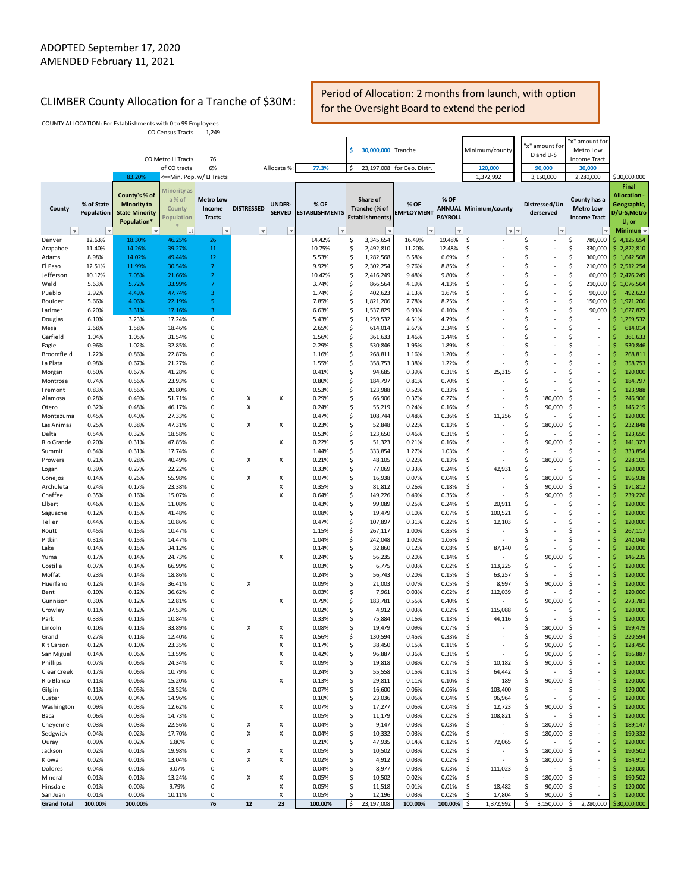## CLIMBER County Allocation for a Tranche of \$30M: Period of Allocation: 2 months from launch, with option for the Oversight Board to extend the period

COUNTY ALLOCATION: For Establishments with 0 to 99 Employees CO Census Tracts 1,249

|                          |                                                      |                                                                             |                                                        |                                                               |                                               |                                                  |                                                            | S        | 30,000,000 Tranche                                  |                                            |                                                     | Minimum/county                                                      |          | 'x" amount for<br>D and U-S                  | x" amount for<br>Metro Low                                       |          |                                                                                                    |
|--------------------------|------------------------------------------------------|-----------------------------------------------------------------------------|--------------------------------------------------------|---------------------------------------------------------------|-----------------------------------------------|--------------------------------------------------|------------------------------------------------------------|----------|-----------------------------------------------------|--------------------------------------------|-----------------------------------------------------|---------------------------------------------------------------------|----------|----------------------------------------------|------------------------------------------------------------------|----------|----------------------------------------------------------------------------------------------------|
|                          |                                                      |                                                                             | CO Metro LI Tracts<br>of CO tracts                     | 76<br>6%                                                      |                                               | Allocate %:                                      | 77.3%                                                      | \$       |                                                     | 23,197,008 for Geo. Distr.                 |                                                     | 120,000                                                             |          | 90,000                                       | <b>Income Tract</b><br>30,000                                    |          |                                                                                                    |
|                          |                                                      | 83.20%                                                                      | <==Min. Pop. w/ LI Tracts                              |                                                               |                                               |                                                  |                                                            |          |                                                     |                                            |                                                     | 1,372,992                                                           |          | 3,150,000                                    | 2,280,000                                                        |          | \$30,000,000                                                                                       |
| County<br>$ \mathbf{v} $ | % of State<br>Population<br>$\vert \mathbf{v} \vert$ | County's % of<br><b>Minority to</b><br><b>State Minority</b><br>Population* | Minority as<br>a% of<br>County<br>'opulation<br>$ +1 $ | <b>Metro Low</b><br>Income<br><b>Tracts</b><br>$ \mathbf{v} $ | <b>DISTRESSED</b><br>$\vert \mathbf{v} \vert$ | <b>UNDER-</b><br><b>SERVED</b><br>$\vert \nabla$ | % OF<br><b>ESTABLISHMENTS</b><br>$\boldsymbol{\mathrm{v}}$ |          | Share of<br>Tranche (% of<br><b>Establishments)</b> | % OF<br><b>MPLOYMENT</b><br>$\vert \nabla$ | % OF<br><b>PAYROLL</b><br>$\boldsymbol{\mathrm{v}}$ | <b>ANNUAL Minimum/county</b><br>$\vert \mathbf{v} \vert \mathbf{w}$ |          | Distressed/Un<br>derserved<br>$\vert \nabla$ | County has a<br><b>Metro Low</b><br><b>Income Tract</b>          |          | Final<br>Allocation -<br>Geographic,<br>D/U-S, Metro<br>LI, or<br>Minimum $\overline{\phantom{a}}$ |
| Denver                   | 12.63%                                               | 18.30%                                                                      | 46.25%                                                 | 26                                                            |                                               |                                                  | 14.42%                                                     | \$       | 3,345,654                                           | 16.49%                                     | 19.48%                                              | \$.                                                                 | \$       | $\overline{\phantom{a}}$                     | \$<br>780,000                                                    |          | \$4,125,654                                                                                        |
| Arapahoe                 | 11.40%                                               | 14.26%                                                                      | 39.27%                                                 | 11                                                            |                                               |                                                  | 10.75%                                                     | \$       | 2,492,810                                           | 11.20%                                     | 12.48%                                              | \$                                                                  | \$       | $\overline{\phantom{a}}$                     | \$<br>330,000                                                    |          | \$2,822,810                                                                                        |
| Adams                    | 8.98%                                                | 14.02%                                                                      | 49.44%                                                 | 12                                                            |                                               |                                                  | 5.53%                                                      | \$       | 1,282,568                                           | 6.58%                                      | 6.69%                                               | \$                                                                  | \$       | ×,                                           | \$<br>360,000                                                    |          | \$1,642,568                                                                                        |
| El Paso                  | 12.51%                                               | 11.99%                                                                      | 30.54%                                                 | $\overline{7}$                                                |                                               |                                                  | 9.92%                                                      | \$       | 2,302,254                                           | 9.76%                                      | 8.85%                                               | \$                                                                  | \$       | ×,                                           | \$<br>210,000 \$ 2,512,254                                       |          |                                                                                                    |
| Jefferson<br>Weld        | 10.12%<br>5.63%                                      | 7.05%<br>5.72%                                                              | 21.66%<br>33.99%                                       | $\overline{2}$<br>$\overline{7}$                              |                                               |                                                  | 10.42%<br>3.74%                                            | \$<br>\$ | 2,416,249<br>866,564                                | 9.48%<br>4.19%                             | 9.80%<br>4.13%                                      | \$<br>\$                                                            | \$<br>\$ | ×,<br>÷,                                     | \$<br>60,000<br>\$<br>210,000                                    |          | \$2,476,249<br>\$1,076,564                                                                         |
| Pueblo                   | 2.92%                                                | 4.49%                                                                       | 47.74%                                                 | 3                                                             |                                               |                                                  | 1.74%                                                      | \$       | 402,623                                             | 2.13%                                      | 1.67%                                               | \$                                                                  | \$       | ÷,                                           | \$<br>90,000                                                     | \$       | 492,623                                                                                            |
| Boulder                  | 5.66%                                                | 4.06%                                                                       | 22.19%                                                 | 5                                                             |                                               |                                                  | 7.85%                                                      | \$       | 1,821,206                                           | 7.78%                                      | 8.25%                                               | \$                                                                  | \$       | ÷,                                           | \$<br>150,000                                                    |          | $\frac{1}{2}$ 1,971,206                                                                            |
| Larimer                  | 6.20%                                                | 3.31%                                                                       | 17.16%                                                 | 3                                                             |                                               |                                                  | 6.63%                                                      | \$       | 1,537,829                                           | 6.93%                                      | 6.10%                                               | \$                                                                  | \$       | ×,                                           | \$<br>90,000                                                     | \$.      | 1,627,829                                                                                          |
| Douglas                  | 6.10%                                                | 3.23%                                                                       | 17.24%                                                 | 0                                                             |                                               |                                                  | 5.43%                                                      | \$       | 1,259,532                                           | 4.51%                                      | 4.79%                                               | \$                                                                  | \$       |                                              | \$<br>٠                                                          | \$.      | 1,259,532                                                                                          |
| Mesa                     | 2.68%                                                | 1.58%                                                                       | 18.46%                                                 | 0                                                             |                                               |                                                  | 2.65%                                                      | \$       | 614,014                                             | 2.67%                                      | 2.34%                                               | \$                                                                  | \$       |                                              | \$<br>٠                                                          | \$       | 614,014                                                                                            |
| Garfield                 | 1.04%<br>0.96%                                       | 1.05%<br>1.02%                                                              | 31.54%<br>32.85%                                       | 0<br>0                                                        |                                               |                                                  | 1.56%                                                      | \$<br>\$ | 361,633<br>530,846                                  | 1.46%<br>1.95%                             | 1.44%<br>1.89%                                      | \$<br>\$                                                            | \$<br>Ś  |                                              | \$<br>$\overline{\phantom{a}}$<br>\$<br>÷                        | Ś<br>Ś   | 361,633                                                                                            |
| Eagle<br>Broomfield      | 1.22%                                                | 0.86%                                                                       | 22.87%                                                 | 0                                                             |                                               |                                                  | 2.29%<br>1.16%                                             | \$       | 268,811                                             | 1.16%                                      | 1.20%                                               | \$                                                                  | Ś        |                                              | \$<br>$\overline{\phantom{a}}$                                   | S        | 530,846<br>268,811                                                                                 |
| La Plata                 | 0.98%                                                | 0.67%                                                                       | 21.27%                                                 | 0                                                             |                                               |                                                  | 1.55%                                                      | \$       | 358,753                                             | 1.38%                                      | 1.22%                                               | \$                                                                  | \$       |                                              | \$<br>$\overline{\phantom{a}}$                                   | \$       | 358,753                                                                                            |
| Morgan                   | 0.50%                                                | 0.67%                                                                       | 41.28%                                                 | 0                                                             |                                               |                                                  | 0.41%                                                      | \$       | 94,685                                              | 0.39%                                      | 0.31%                                               | \$<br>25,315                                                        | \$       |                                              | \$<br>×,                                                         | \$       | 120,000                                                                                            |
| Montrose                 | 0.74%                                                | 0.56%                                                                       | 23.93%                                                 | 0                                                             |                                               |                                                  | 0.80%                                                      | \$       | 184,797                                             | 0.81%                                      | 0.70%                                               | \$                                                                  | \$       |                                              | \$<br>$\overline{\phantom{a}}$                                   | \$       | 184,797                                                                                            |
| Fremont                  | 0.83%                                                | 0.56%                                                                       | 20.80%                                                 | O                                                             |                                               |                                                  | 0.53%                                                      | \$       | 123,988                                             | 0.52%                                      | 0.33%                                               | \$                                                                  | \$       |                                              | \$<br>$\overline{\phantom{a}}$                                   | Ś        | 123,988                                                                                            |
| Alamosa                  | 0.28%                                                | 0.49%                                                                       | 51.71%                                                 | 0                                                             | Χ                                             | х                                                | 0.29%                                                      | \$       | 66,906                                              | 0.37%                                      | 0.27%                                               | \$<br>$\overline{\phantom{a}}$                                      | \$       | 180,000                                      | \$<br>$\overline{\phantom{a}}$                                   | \$       | 246,906                                                                                            |
| Otero                    | 0.32%<br>0.45%                                       | 0.48%                                                                       | 46.17%                                                 | 0<br>0                                                        | Χ                                             |                                                  | 0.24%                                                      | \$<br>\$ | 55,219<br>108,744                                   | 0.24%<br>0.48%                             | 0.16%<br>0.36%                                      | \$<br>\$                                                            | \$<br>\$ | 90,000                                       | \$<br>$\overline{\phantom{a}}$<br>\$<br>×,                       | \$<br>Ś  | 145,219<br>120,000                                                                                 |
| Montezuma<br>Las Animas  | 0.25%                                                | 0.40%<br>0.38%                                                              | 27.33%<br>47.31%                                       | 0                                                             | X                                             | Х                                                | 0.47%<br>0.23%                                             | \$       | 52,848                                              | 0.22%                                      | 0.13%                                               | 11,256<br>\$                                                        | \$       | 180,000                                      | \$<br>$\overline{\phantom{a}}$                                   | Ś        | 232,848                                                                                            |
| Delta                    | 0.54%                                                | 0.32%                                                                       | 18.58%                                                 | 0                                                             |                                               |                                                  | 0.53%                                                      | \$       | 123,650                                             | 0.46%                                      | 0.31%                                               | \$                                                                  | \$       |                                              | \$<br>×,                                                         | Ś        | 123,650                                                                                            |
| Rio Grande               | 0.20%                                                | 0.31%                                                                       | 47.85%                                                 | 0                                                             |                                               | х                                                | 0.22%                                                      | \$       | 51,323                                              | 0.21%                                      | 0.16%                                               | \$                                                                  | \$       | 90,000                                       | \$<br>$\overline{\phantom{a}}$                                   | \$       | 141,323                                                                                            |
| Summit                   | 0.54%                                                | 0.31%                                                                       | 17.74%                                                 | 0                                                             |                                               |                                                  | 1.44%                                                      | \$       | 333,854                                             | 1.27%                                      | 1.03%                                               | \$                                                                  | \$       |                                              | \$<br>$\overline{\phantom{a}}$                                   | \$       | 333,854                                                                                            |
| Prowers                  | 0.21%                                                | 0.28%                                                                       | 40.49%                                                 | 0                                                             | X                                             | х                                                | 0.21%                                                      | \$       | 48,105                                              | 0.22%                                      | 0.13%                                               | \$<br>$\overline{\phantom{a}}$                                      | \$       | 180,000                                      | \$<br>×,                                                         | Ś        | 228,105                                                                                            |
| Logan                    | 0.39%                                                | 0.27%                                                                       | 22.22%                                                 | 0                                                             |                                               |                                                  | 0.33%                                                      | \$       | 77,069                                              | 0.33%                                      | 0.24%                                               | \$<br>42,931                                                        | \$       |                                              | \$<br>×,                                                         | Ś        | 120,000                                                                                            |
| Conejos                  | 0.14%                                                | 0.26%                                                                       | 55.98%                                                 | 0                                                             | X                                             | х                                                | 0.07%                                                      | \$       | 16,938                                              | 0.07%                                      | 0.04%                                               | \$                                                                  | \$       | 180,000                                      | \$<br>$\overline{\phantom{a}}$                                   | \$<br>\$ | 196,938                                                                                            |
| Archuleta<br>Chaffee     | 0.24%<br>0.35%                                       | 0.17%<br>0.16%                                                              | 23.38%<br>15.07%                                       | 0<br>0                                                        |                                               | X<br>Χ                                           | 0.35%<br>0.64%                                             | \$<br>\$ | 81,812<br>149,226                                   | 0.26%<br>0.49%                             | 0.18%<br>0.35%                                      | \$<br>$\overline{\phantom{a}}$<br>\$                                | \$<br>\$ | 90,000<br>90,000                             | \$<br>$\overline{\phantom{a}}$<br>\$<br>$\overline{\phantom{a}}$ | \$       | 171,812<br>239,226                                                                                 |
| Elbert                   | 0.46%                                                | 0.16%                                                                       | 11.08%                                                 | 0                                                             |                                               |                                                  | 0.43%                                                      | \$       | 99,089                                              | 0.25%                                      | 0.24%                                               | \$<br>20,911                                                        | \$       |                                              | \$<br>×,                                                         | Ś        | 120,000                                                                                            |
| Saguache                 | 0.12%                                                | 0.15%                                                                       | 41.48%                                                 | 0                                                             |                                               |                                                  | 0.08%                                                      | \$       | 19,479                                              | 0.10%                                      | 0.07%                                               | -\$<br>100,521                                                      | \$       |                                              | \$<br>$\overline{\phantom{a}}$                                   | Ś        | 120,000                                                                                            |
| Teller                   | 0.44%                                                | 0.15%                                                                       | 10.86%                                                 | 0                                                             |                                               |                                                  | 0.47%                                                      | \$       | 107,897                                             | 0.31%                                      | 0.22%                                               | \$<br>12,103                                                        | \$       |                                              | \$<br>×,                                                         | \$       | 120,000                                                                                            |
| Routt                    | 0.45%                                                | 0.15%                                                                       | 10.47%                                                 | 0                                                             |                                               |                                                  | 1.15%                                                      | \$       | 267,117                                             | 1.00%                                      | 0.85%                                               | \$<br>$\overline{\phantom{a}}$                                      | Ś        |                                              | \$<br>$\overline{\phantom{a}}$                                   | \$       | 267,117                                                                                            |
| Pitkin                   | 0.31%                                                | 0.15%                                                                       | 14.47%                                                 | 0                                                             |                                               |                                                  | 1.04%                                                      | \$       | 242,048                                             | 1.02%                                      | 1.06%                                               | \$<br>$\overline{\phantom{a}}$                                      | \$       |                                              | \$<br>$\overline{\phantom{a}}$                                   | Ś        | 242,048                                                                                            |
| Lake<br>Yuma             | 0.14%<br>0.17%                                       | 0.15%<br>0.14%                                                              | 34.12%<br>24.73%                                       | O<br>0                                                        |                                               | Х                                                | 0.14%<br>0.24%                                             | \$<br>\$ | 32,860<br>56,235                                    | 0.12%<br>0.20%                             | 0.08%<br>0.14%                                      | \$<br>87,140<br>\$                                                  | \$<br>\$ | 90,000                                       | \$<br>ł,<br>\$<br>$\overline{\phantom{a}}$                       | Ś<br>Ś   | 120,000<br>146,235                                                                                 |
| Costilla                 | 0.07%                                                | 0.14%                                                                       | 66.99%                                                 | 0                                                             |                                               |                                                  | 0.03%                                                      | \$       | 6,775                                               | 0.03%                                      | 0.02%                                               | \$<br>113,225                                                       | \$       |                                              | \$<br>$\overline{\phantom{a}}$                                   | \$       | 120,000                                                                                            |
| Moffat                   | 0.23%                                                | 0.14%                                                                       | 18.86%                                                 | 0                                                             |                                               |                                                  | 0.24%                                                      | \$       | 56,743                                              | 0.20%                                      | 0.15%                                               | \$<br>63,257                                                        | \$       |                                              | \$<br>$\overline{\phantom{a}}$                                   | \$       | 120,000                                                                                            |
| Huerfano                 | 0.12%                                                | 0.14%                                                                       | 36.41%                                                 | 0                                                             | X                                             |                                                  | 0.09%                                                      | \$       | 21,003                                              | 0.07%                                      | 0.05%                                               | \$<br>8,997                                                         | \$       | 90,000                                       | \$<br>$\overline{\phantom{a}}$                                   | Ś        | 120,000                                                                                            |
| Bent                     | 0.10%                                                | 0.12%                                                                       | 36.62%                                                 | 0                                                             |                                               |                                                  | 0.03%                                                      | \$       | 7,961                                               | 0.03%                                      | 0.02%                                               | \$<br>112,039                                                       | \$       |                                              | \$<br>×,                                                         | Ś        | 120,000                                                                                            |
| Gunnison                 | 0.30%                                                | 0.12%                                                                       | 12.81%                                                 | 0                                                             |                                               | х                                                | 0.79%                                                      | \$       | 183,781                                             | 0.55%                                      | 0.40%                                               | \$                                                                  | \$       | 90,000                                       | \$<br>$\overline{\phantom{a}}$                                   | \$       | 273,781                                                                                            |
| Crowley                  | 0.11%                                                | 0.12%                                                                       | 37.53%                                                 | 0<br>0                                                        |                                               |                                                  | 0.02%                                                      | \$<br>\$ | 4,912                                               | 0.03%                                      | 0.02%                                               | \$<br>115,088                                                       | \$<br>\$ |                                              | \$<br>$\overline{\phantom{a}}$<br>\$<br>×,                       | Ś<br>Ś   | 120,000                                                                                            |
| Park<br>Lincoln          | 0.33%<br>0.10%                                       | 0.11%<br>0.11%                                                              | 10.84%<br>33.89%                                       | 0                                                             | X                                             | х                                                | 0.33%<br>0.08%                                             | \$       | 75,884<br>19,479                                    | 0.16%<br>0.09%                             | 0.13%<br>0.07%                                      | \$<br>44,116<br>\$                                                  | \$       | 180,000                                      | \$<br>$\overline{\phantom{a}}$                                   | Ś        | 120,000<br>199,479                                                                                 |
| Grand                    | 0.27%                                                | 0.11%                                                                       | 12.40%                                                 | 0                                                             |                                               | Χ                                                | 0.56%                                                      | \$       | 130,594                                             | 0.45%                                      | 0.33%                                               | \$                                                                  | Ś        | 90,000                                       | \$                                                               | Ŝ        | 220,594                                                                                            |
| Kit Carson               | 0.12%                                                | 0.10%                                                                       | 23.35%                                                 | 0                                                             |                                               | х                                                | U. 17%                                                     | \$       | 38,450                                              | 0.15%                                      | 0.11%                                               | ÷,                                                                  |          | 90,000                                       |                                                                  |          | 128,450                                                                                            |
| San Miguel               | 0.14%                                                | 0.06%                                                                       | 13.59%                                                 | 0                                                             |                                               | Χ                                                | 0.42%                                                      | \$       | 96,887                                              | 0.36%                                      | 0.31%                                               | \$                                                                  | \$       | 90,000                                       | -\$<br>$\overline{\phantom{a}}$                                  | \$       | 186,887                                                                                            |
| Phillips                 | 0.07%                                                | 0.06%                                                                       | 24.34%                                                 | 0                                                             |                                               | Χ                                                | 0.09%                                                      | \$       | 19,818                                              | 0.08%                                      | 0.07%                                               | \$<br>10,182                                                        | \$       | 90,000                                       | \$<br>$\overline{\phantom{a}}$                                   | Ś        | 120,000                                                                                            |
| Clear Creek              | 0.17%                                                | 0.06%                                                                       | 10.79%                                                 | 0                                                             |                                               |                                                  | 0.24%                                                      | \$       | 55,558                                              | 0.15%                                      | 0.11%                                               | \$<br>64,442                                                        | \$       |                                              | \$<br>$\overline{\phantom{a}}$                                   |          | 120,000                                                                                            |
| Rio Blanco               | 0.11%<br>0.11%                                       | 0.06%<br>0.05%                                                              | 15.20%<br>13.52%                                       | 0<br>0                                                        |                                               | Χ                                                | 0.13%<br>0.07%                                             | \$<br>\$ | 29,811<br>16,600                                    | 0.11%<br>0.06%                             | 0.10%<br>0.06%                                      | \$<br>189<br>\$.                                                    | \$<br>\$ | 90,000                                       | \$<br>$\overline{\phantom{a}}$<br>\$<br>$\overline{\phantom{a}}$ | \$<br>Ś  | 120,000<br>120,000                                                                                 |
| Gilpin<br>Custer         | 0.09%                                                | 0.04%                                                                       | 14.96%                                                 | 0                                                             |                                               |                                                  | 0.10%                                                      | \$       | 23,036                                              | 0.06%                                      | 0.04%                                               | 103,400<br>\$<br>96,964                                             | \$       |                                              | \$<br>٠                                                          | S        | 120,000                                                                                            |
| Washington               | 0.09%                                                | 0.03%                                                                       | 12.62%                                                 | 0                                                             |                                               | х                                                | 0.07%                                                      | \$       | 17,277                                              | 0.05%                                      | 0.04%                                               | \$<br>12,723                                                        | S        | 90,000                                       | \$<br>$\overline{\phantom{a}}$                                   |          | 120,000                                                                                            |
| Baca                     | 0.06%                                                | 0.03%                                                                       | 14.73%                                                 | 0                                                             |                                               |                                                  | 0.05%                                                      | \$       | 11,179                                              | 0.03%                                      | 0.02%                                               | \$<br>108,821                                                       | \$       |                                              | \$<br>$\overline{\phantom{a}}$                                   |          | 120,000                                                                                            |
| Cheyenne                 | 0.03%                                                | 0.03%                                                                       | 22.56%                                                 | 0                                                             | Х                                             | Х                                                | 0.04%                                                      | \$       | 9,147                                               | 0.03%                                      | 0.03%                                               | \$<br>$\overline{\phantom{a}}$                                      | \$       | 180,000                                      | \$<br>×,                                                         |          | 189,147                                                                                            |
| Sedgwick                 | 0.04%                                                | 0.02%                                                                       | 17.70%                                                 | 0                                                             | X                                             | Χ                                                | 0.04%                                                      | \$       | 10,332                                              | 0.03%                                      | 0.02%                                               | \$.<br>$\overline{\phantom{a}}$                                     | \$       | 180,000                                      | \$<br>$\overline{\phantom{a}}$                                   | S        | 190,332                                                                                            |
| Ouray                    | 0.09%                                                | 0.02%                                                                       | 6.80%                                                  | 0                                                             |                                               |                                                  | 0.21%                                                      | \$       | 47,935                                              | 0.14%                                      | 0.12%                                               | \$<br>72,065                                                        | S        |                                              | \$<br>$\overline{\phantom{a}}$                                   |          | 120,000                                                                                            |
| Jackson<br>Kiowa         | 0.02%<br>0.02%                                       | 0.01%<br>0.01%                                                              | 19.98%<br>13.04%                                       | 0<br>0                                                        | Х<br>Х                                        | Х<br>X                                           | 0.05%<br>0.02%                                             | \$<br>\$ | 10,502<br>4,912                                     | 0.03%<br>0.03%                             | 0.02%<br>0.02%                                      | \$<br>\$                                                            | \$<br>S  | 180,000<br>180,000                           | \$<br>×,<br>-\$<br>٠                                             |          | 190,502<br>184,912                                                                                 |
| Dolores                  | 0.04%                                                | 0.01%                                                                       | 9.07%                                                  | 0                                                             |                                               |                                                  | 0.04%                                                      | \$       | 8,977                                               | 0.03%                                      | 0.03%                                               | 111,023<br>\$                                                       | \$       |                                              | \$<br>$\overline{\phantom{a}}$                                   | Ŝ        | 120,000                                                                                            |
| Mineral                  | 0.01%                                                | 0.01%                                                                       | 13.24%                                                 | 0                                                             | X                                             | х                                                | 0.05%                                                      | \$       | 10,502                                              | 0.02%                                      | 0.02%                                               | \$.                                                                 | \$       | 180,000                                      | \$<br>$\overline{\phantom{a}}$                                   | Ś        | 190,502                                                                                            |
| Hinsdale                 | 0.01%                                                | 0.00%                                                                       | 9.79%                                                  | 0                                                             |                                               | X                                                | 0.05%                                                      | \$       | 11,518                                              | 0.01%                                      | 0.01%                                               | \$<br>18,482                                                        | S        | 90,000                                       | \$<br>$\overline{\phantom{a}}$                                   | \$       | 120,000                                                                                            |
| San Juan                 | 0.01%                                                | 0.00%                                                                       | 10.11%                                                 | 0                                                             |                                               | X                                                | 0.05%                                                      | \$       | 12,196                                              | 0.03%                                      | 0.02%                                               | \$<br>17,804                                                        | Ś        | 90,000                                       | \$<br>×,                                                         | Ś        | 120,000                                                                                            |
| <b>Grand Total</b>       | 100.00%                                              | 100.00%                                                                     |                                                        | 76                                                            | 12                                            | 23                                               | 100.00%                                                    | \$       | 23,197,008                                          | 100.00%                                    | 100.00% \$                                          | 1,372,992                                                           | \$       | 3,150,000                                    | \$<br>2,280,000                                                  |          | \$30,000,000                                                                                       |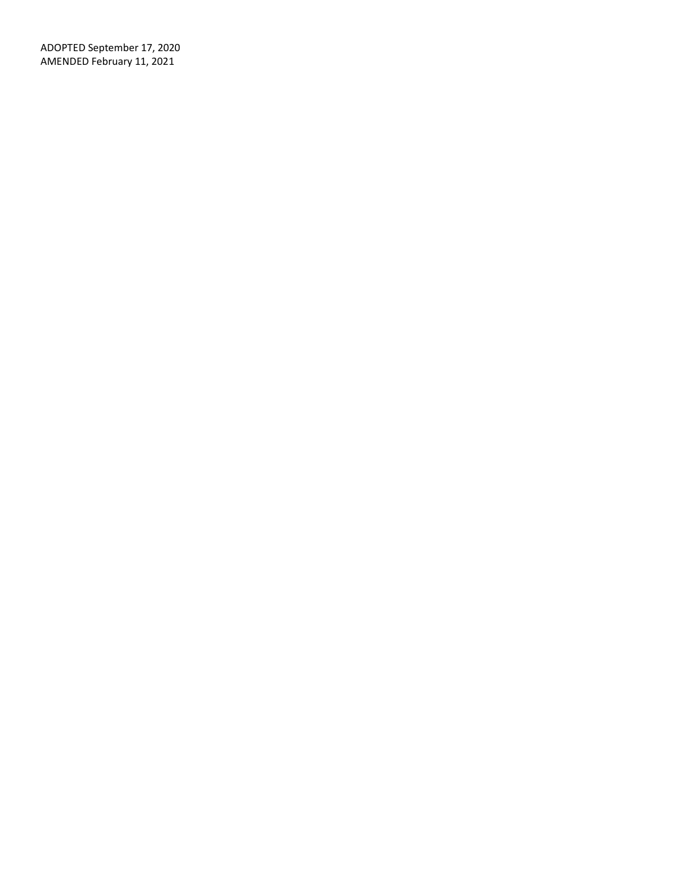ADOPTED September 17, 2020 AMENDED February 11, 2021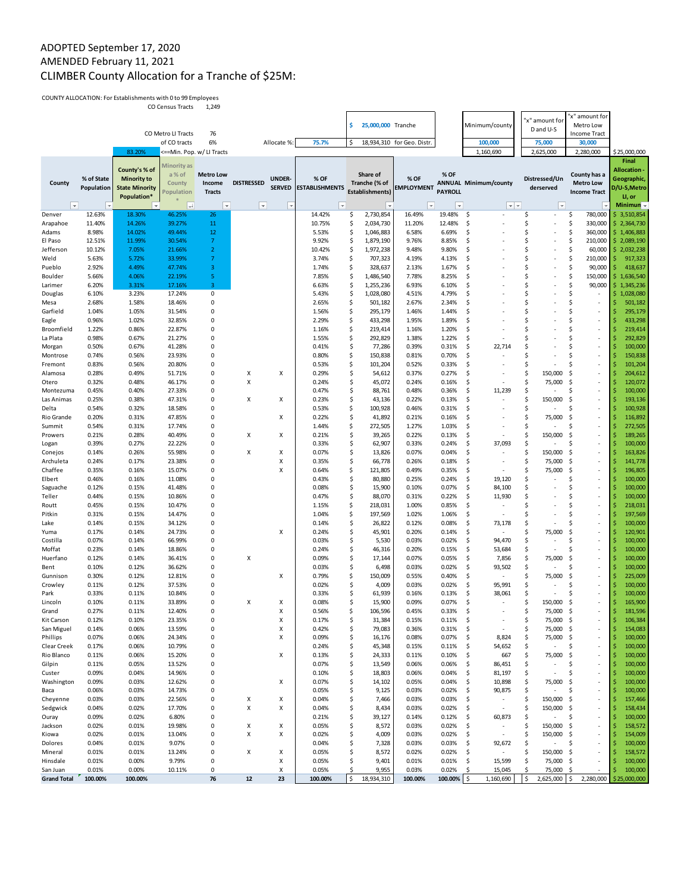# ADOPTED September 17, 2020 AMENDED February 11, 2021 CLIMBER County Allocation for a Tranche of \$25M:

COUNTY ALLOCATION: For Establishments with 0 to 99 Employees CO Census Tracts 1,249

|                        |                          |                       | CO Census Tracts   | 1,249                     |                          |                |                          |          |                        |                            |                          |                                      |                     |                                                      | 'x" amount for                             |            |                                          |
|------------------------|--------------------------|-----------------------|--------------------|---------------------------|--------------------------|----------------|--------------------------|----------|------------------------|----------------------------|--------------------------|--------------------------------------|---------------------|------------------------------------------------------|--------------------------------------------|------------|------------------------------------------|
|                        |                          |                       |                    |                           |                          |                |                          | \$       | 25,000,000 Tranche     |                            |                          | Minimum/county                       |                     | 'x" amount for                                       | Metro Low                                  |            |                                          |
|                        |                          |                       | CO Metro LI Tracts | 76                        |                          |                |                          |          |                        |                            |                          |                                      |                     | D and U-S                                            | <b>Income Tract</b>                        |            |                                          |
|                        |                          |                       | of CO tracts       | 6%                        |                          | Allocate %:    | 75.7%                    | \$       |                        | 18,934,310 for Geo. Distr. |                          | 100,000                              |                     | 75,000                                               | 30,000                                     |            |                                          |
|                        |                          | 83.20%                |                    | <==Min. Pop. w/ LI Tracts |                          |                |                          |          |                        |                            |                          | 1,160,690                            |                     | 2,625,000                                            | 2,280,000                                  |            | \$25,000,000                             |
|                        |                          | County's % of         | Minority as        |                           |                          |                |                          |          |                        |                            |                          |                                      |                     |                                                      |                                            |            | Final<br>Allocation -                    |
|                        | % of State               | <b>Minority to</b>    | a% of              | <b>Metro Low</b>          |                          | <b>UNDER-</b>  | % OF                     |          | Share of               | % OF                       | % OF                     |                                      |                     | Distressed/Un                                        | County has a                               |            | Geographic,                              |
| County                 | Population               | <b>State Minority</b> | County             | Income                    | <b>DISTRESSED</b>        | <b>SERVED</b>  | <b>ESTABLISHMENTS</b>    |          | Tranche (% of          | <b>EMPLOYMENT</b>          |                          | <b>ANNUAL Minimum/county</b>         |                     | derserved                                            | <b>Metro Low</b>                           |            | D/U-S,Metro                              |
|                        |                          | Population*           | opulation          | <b>Tracts</b>             |                          |                |                          |          | <b>Establishments)</b> |                            | <b>PAYROLL</b>           |                                      |                     |                                                      | <b>Income Tract</b>                        |            | U, or                                    |
| $ \mathbf{v} $         | $\vert \mathbf{v} \vert$ |                       | $ + $              | $\vert \mathbf{v} \vert$  | $\vert \mathbf{v} \vert$ | $\vert \nabla$ | $\vert \mathbf{v} \vert$ |          | ⊣                      | $\vert \cdot \vert$        | $\vert \mathbf{v} \vert$ | $ \mathbf{v} $ $\mathbf{v}$          |                     | $\vert \nabla$                                       |                                            |            | Minimum $\sim$                           |
| Denver                 | 12.63%                   | 18.30%                | 46.25%             | 26                        |                          |                | 14.42%                   | \$       | 2,730,854              | 16.49%                     | 19.48%                   | \$                                   | \$                  | $\overline{\phantom{a}}$                             | \$<br>780,000                              |            | \$3,510,854                              |
| Arapahoe               | 11.40%                   | 14.26%                | 39.27%<br>49.44%   | 11                        |                          |                | 10.75%                   | \$<br>\$ | 2,034,730              | 11.20%                     | 12.48%                   | \$<br>\$                             | \$<br>\$            | $\overline{\phantom{a}}$<br>$\overline{\phantom{a}}$ | \$<br>330,000<br>\$                        |            | \$2,364,730                              |
| Adams<br>El Paso       | 8.98%<br>12.51%          | 14.02%<br>11.99%      | 30.54%             | 12<br>7                   |                          |                | 5.53%<br>9.92%           | \$       | 1,046,883<br>1,879,190 | 6.58%<br>9.76%             | 6.69%<br>8.85%           | \$                                   | Ś                   | ×                                                    | 360,000<br>\$<br>210,000                   |            | \$1,406,883<br>$\frac{1}{2}$ , 2,089,190 |
| Jefferson              | 10.12%                   | 7.05%                 | 21.66%             | $\overline{2}$            |                          |                | 10.42%                   | \$       | 1,972,238              | 9.48%                      | 9.80%                    | \$                                   | \$                  | ÷,                                                   | \$<br>60,000                               |            | $\frac{1}{2}$ , 2,032,238                |
| Weld                   | 5.63%                    | 5.72%                 | 33.99%             | $\overline{7}$            |                          |                | 3.74%                    | \$       | 707,323                | 4.19%                      | 4.13%                    | \$                                   | \$                  | $\overline{\phantom{a}}$                             | \$<br>210,000                              | \$         | 917,323                                  |
| Pueblo                 | 2.92%                    | 4.49%                 | 47.74%             | 3                         |                          |                | 1.74%                    | \$       | 328,637                | 2.13%                      | 1.67%                    | \$                                   | \$                  | $\overline{\phantom{a}}$                             | \$<br>90,000                               | \$         | 418,637                                  |
| Boulder                | 5.66%                    | 4.06%                 | 22.19%             | 5                         |                          |                | 7.85%                    | \$       | 1,486,540              | 7.78%                      | 8.25%                    | \$                                   | \$<br>Ś             | $\overline{\phantom{a}}$                             | \$<br>150,000<br>\$                        | \$.        | 1,636,540                                |
| Larimer<br>Douglas     | 6.20%<br>6.10%           | 3.31%<br>3.23%        | 17.16%<br>17.24%   | 3<br>0                    |                          |                | 6.63%<br>5.43%           | \$<br>\$ | 1,255,236<br>1,028,080 | 6.93%<br>4.51%             | 6.10%<br>4.79%           | \$<br>\$                             | \$                  | $\overline{\phantom{a}}$<br>×,                       | 90,000<br>\$                               | \$.<br>\$. | 1,345,236<br>1,028,080                   |
| Mesa                   | 2.68%                    | 1.58%                 | 18.46%             | 0                         |                          |                | 2.65%                    | \$       | 501,182                | 2.67%                      | 2.34%                    | \$                                   | \$                  |                                                      | \$<br>$\sim$                               | Ś          | 501,182                                  |
| Garfield               | 1.04%                    | 1.05%                 | 31.54%             | 0                         |                          |                | 1.56%                    | \$       | 295,179                | 1.46%                      | 1.44%                    | \$                                   | \$                  | ٠                                                    | \$<br>$\overline{\phantom{a}}$             | Ś          | 295,179                                  |
| Eagle                  | 0.96%                    | 1.02%                 | 32.85%             | 0                         |                          |                | 2.29%                    | \$       | 433,298                | 1.95%                      | 1.89%                    | \$                                   | Ś                   |                                                      | \$<br>×                                    | S          | 433,298                                  |
| Broomfield             | 1.22%                    | 0.86%                 | 22.87%             | $\Omega$<br>$\Omega$      |                          |                | 1.16%                    | \$       | 219,414                | 1.16%                      | 1.20%                    | \$                                   | \$                  |                                                      | \$<br>٠                                    | Ś          | 219,414                                  |
| La Plata               | 0.98%<br>0.50%           | 0.67%<br>0.67%        | 21.27%<br>41.28%   | $\Omega$                  |                          |                | 1.55%<br>0.41%           | \$<br>\$ | 292,829<br>77,286      | 1.38%<br>0.39%             | 1.22%<br>0.31%           | \$<br>\$<br>22,714                   | \$<br>\$            |                                                      | \$<br>×,<br>\$<br>$\sim$                   | \$<br>Ś    | 292,829<br>100,000                       |
| Morgan<br>Montrose     | 0.74%                    | 0.56%                 | 23.93%             | 0                         |                          |                | 0.80%                    | \$       | 150,838                | 0.81%                      | 0.70%                    | \$                                   | \$                  | ٠                                                    | \$<br>$\overline{\phantom{a}}$             | Ś          | 150,838                                  |
| Fremont                | 0.83%                    | 0.56%                 | 20.80%             | 0                         |                          |                | 0.53%                    | \$       | 101,204                | 0.52%                      | 0.33%                    | \$                                   | \$                  |                                                      | \$<br>×,                                   | Ś          | 101,204                                  |
| Alamosa                | 0.28%                    | 0.49%                 | 51.71%             | $\Omega$                  | х                        | X              | 0.29%                    | \$       | 54,612                 | 0.37%                      | 0.27%                    | \$                                   | \$                  | 150,000                                              | \$<br>٠                                    | Ś          | 204,612                                  |
| Otero                  | 0.32%                    | 0.48%                 | 46.17%             | 0                         | X                        |                | 0.24%                    | \$       | 45,072                 | 0.24%                      | 0.16%                    | \$                                   | \$                  | 75,000                                               | \$<br>$\sim$                               | \$         | 120,072                                  |
| Montezuma              | 0.45%                    | 0.40%                 | 27.33%             | 0                         |                          |                | 0.47%                    | \$       | 88,761                 | 0.48%                      | 0.36%                    | \$<br>11,239                         | \$                  |                                                      | \$<br>×,                                   | Ś          | 100,000                                  |
| Las Animas<br>Delta    | 0.25%<br>0.54%           | 0.38%<br>0.32%        | 47.31%<br>18.58%   | 0<br>0                    | X                        | X              | 0.23%<br>0.53%           | \$<br>\$ | 43,136<br>100,928      | 0.22%<br>0.46%             | 0.13%<br>0.31%           | \$<br>\$                             | \$<br>\$            | 150,000                                              | \$<br>$\overline{\phantom{a}}$<br>\$<br>×, | Ś<br>Ś     | 193,136<br>100,928                       |
| Rio Grande             | 0.20%                    | 0.31%                 | 47.85%             | $\Omega$                  |                          | Χ              | 0.22%                    | \$       | 41,892                 | 0.21%                      | 0.16%                    | \$                                   | \$                  | 75,000                                               | \$<br>$\sim$                               | Ś          | 116,892                                  |
| Summit                 | 0.54%                    | 0.31%                 | 17.74%             | 0                         |                          |                | 1.44%                    | \$       | 272,505                | 1.27%                      | 1.03%                    | \$                                   | \$                  |                                                      | \$<br>٠                                    | \$         | 272,505                                  |
| Prowers                | 0.21%                    | 0.28%                 | 40.49%             | 0                         | х                        | X              | 0.21%                    | \$       | 39,265                 | 0.22%                      | 0.13%                    | \$                                   | \$                  | 150,000                                              | \$<br>×,                                   | Ś          | 189,265                                  |
| Logan                  | 0.39%                    | 0.27%                 | 22.22%             | 0                         |                          |                | 0.33%                    | \$       | 62,907                 | 0.33%                      | 0.24%                    | \$<br>37,093                         | \$                  |                                                      | \$<br>×,                                   | Ś          | 100,000                                  |
| Conejos                | 0.14%                    | 0.26%                 | 55.98%             | $\Omega$                  | Х                        | Χ              | 0.07%                    | \$       | 13,826                 | 0.07%                      | 0.04%                    | \$                                   | \$                  | 150,000                                              | \$<br>٠                                    | \$         | 163,826                                  |
| Archuleta<br>Chaffee   | 0.24%<br>0.35%           | 0.17%<br>0.16%        | 23.38%<br>15.07%   | $\Omega$<br>0             |                          | Χ<br>X         | 0.35%<br>0.64%           | \$<br>\$ | 66,778<br>121,805      | 0.26%<br>0.49%             | 0.18%<br>0.35%           | \$<br>$\overline{\phantom{a}}$<br>\$ | \$<br>\$            | 75,000<br>75,000                                     | \$<br>$\sim$<br>\$<br>$\sim$               | \$<br>\$   | 141,778<br>196,805                       |
| Elbert                 | 0.46%                    | 0.16%                 | 11.08%             | 0                         |                          |                | 0.43%                    | \$       | 80,880                 | 0.25%                      | 0.24%                    | \$<br>19,120                         | \$                  |                                                      | \$<br>×,                                   | Ś          | 100,000                                  |
| Saguache               | 0.12%                    | 0.15%                 | 41.48%             | 0                         |                          |                | 0.08%                    | \$       | 15,900                 | 0.10%                      | 0.07%                    | \$<br>84,100                         | Ś                   |                                                      | \$<br>$\overline{\phantom{a}}$             | Ś          | 100,000                                  |
| Teller                 | 0.44%                    | 0.15%                 | 10.86%             | $\Omega$                  |                          |                | 0.47%                    | \$       | 88,070                 | 0.31%                      | 0.22%                    | \$<br>11,930                         | \$                  |                                                      | \$<br>×                                    | Ś          | 100,000                                  |
| Routt                  | 0.45%                    | 0.15%                 | 10.47%             | $\Omega$                  |                          |                | 1.15%                    | \$       | 218,031                | 1.00%                      | 0.85%                    | \$<br>$\sim$                         | Ś                   |                                                      | \$<br>$\sim$                               | Ś          | 218,031                                  |
| Pitkin                 | 0.31%<br>0.14%           | 0.15%<br>0.15%        | 14.47%<br>34.12%   | 0<br>0                    |                          |                | 1.04%<br>0.14%           | \$<br>\$ | 197,569                | 1.02%<br>0.12%             | 1.06%<br>0.08%           | \$<br>$\overline{\phantom{a}}$       | \$<br>\$            | ٠                                                    | \$<br>$\overline{\phantom{a}}$<br>\$<br>×  | Ś<br>Ś     | 197,569                                  |
| Lake<br>Yuma           | 0.17%                    | 0.14%                 | 24.73%             | $\Omega$                  |                          | x              | 0.24%                    | \$       | 26,822<br>45,901       | 0.20%                      | 0.14%                    | \$<br>73,178<br>\$                   | \$                  | 75,000                                               | \$<br>$\sim$                               | Ś          | 100,000<br>120,901                       |
| Costilla               | 0.07%                    | 0.14%                 | 66.99%             | $\Omega$                  |                          |                | 0.03%                    | \$       | 5,530                  | 0.03%                      | 0.02%                    | \$<br>94,470                         | \$                  |                                                      | \$<br>٠                                    | \$         | 100,000                                  |
| Moffat                 | 0.23%                    | 0.14%                 | 18.86%             | $\Omega$                  |                          |                | 0.24%                    | \$       | 46,316                 | 0.20%                      | 0.15%                    | \$<br>53,684                         | \$                  | $\overline{\phantom{a}}$                             | \$<br>$\sim$                               | Ś          | 100,000                                  |
| Huerfano               | 0.12%                    | 0.14%                 | 36.41%             | 0                         | х                        |                | 0.09%                    | \$       | 17,144                 | 0.07%                      | 0.05%                    | \$<br>7,856                          | \$                  | 75,000                                               | \$<br>$\sim$                               | \$         | 100,000                                  |
| Bent                   | 0.10%                    | 0.12%                 | 36.62%             | 0                         |                          |                | 0.03%                    | \$       | 6,498                  | 0.03%                      | 0.02%                    | \$<br>93,502                         | \$                  |                                                      | \$<br>$\overline{\phantom{a}}$             | Ś          | 100,000                                  |
| Gunnison<br>Crowley    | 0.30%<br>0.11%           | 0.12%<br>0.12%        | 12.81%<br>37.53%   | $\Omega$<br>$\Omega$      |                          | x              | 0.79%<br>0.02%           | \$<br>\$ | 150,009<br>4,009       | 0.55%<br>0.03%             | 0.40%<br>0.02%           | \$<br>٠<br>\$<br>95,991              | \$<br>\$            | 75,000                                               | \$<br>٠<br>\$<br>٠                         | Ś<br>Ś     | 225,009<br>100,000                       |
| Park                   | 0.33%                    | 0.11%                 | 10.84%             | 0                         |                          |                | 0.33%                    | \$       | 61,939                 | 0.16%                      | 0.13%                    | \$<br>38,061                         | \$                  |                                                      | \$<br>×                                    |            | 100,000                                  |
| Lincoln                | 0.10%                    | 0.11%                 | 33.89%             | 0                         | х                        | х              | 0.08%                    | \$       | 15,900                 | 0.09%                      | 0.07%                    | \$                                   | Ś                   | 150,000                                              | \$.<br>$\overline{\phantom{a}}$            | Ś          | 165,900                                  |
| Grand                  | 0.27%                    | 0.11%                 | 12.40%             | $\Omega$                  |                          | X              | 0.56%                    | \$       | 106,596                | 0.45%                      | 0.33%                    | Ŝ.                                   | Ś                   | 75,000                                               | Ŝ.                                         | ¢          | 181.596                                  |
| Kit Carson             | 0.12%                    | 0.10%                 | 23.35%             | 0                         |                          | Χ              | 0.17%                    | \$       | 31,384                 | 0.15%                      | 0.11%                    | \$                                   | \$                  | 75,000                                               | -\$                                        | \$         | 106,384                                  |
| San Miguel<br>Phillips | 0.14%<br>0.07%           | 0.06%<br>0.06%        | 13.59%<br>24.34%   | 0<br>0                    |                          | X<br>X         | 0.42%<br>0.09%           | \$<br>\$ | 79,083<br>16,176       | 0.36%<br>0.08%             | 0.31%<br>0.07%           | \$<br>\$<br>8,824                    | \$<br>\$            | 75,000<br>75,000                                     | -\$<br>$\sim$<br>$\overline{\phantom{a}}$  | \$         | 154,083<br>100,000                       |
| Clear Creek            | 0.17%                    | 0.06%                 | 10.79%             | 0                         |                          |                | 0.24%                    | \$       | 45,348                 | 0.15%                      | 0.11%                    | \$<br>54,652                         | \$                  | $\overline{\phantom{a}}$                             | -\$<br>\$<br>$\overline{\phantom{a}}$      | S          | 100,000                                  |
| Rio Blanco             | 0.11%                    | 0.06%                 | 15.20%             | 0                         |                          | Χ              | 0.13%                    | \$       | 24,333                 | 0.11%                      | 0.10%                    | \$<br>667                            | \$                  | 75,000                                               | \$<br>$\overline{\phantom{a}}$             | \$         | 100,000                                  |
| Gilpin                 | 0.11%                    | 0.05%                 | 13.52%             | 0                         |                          |                | 0.07%                    | \$       | 13,549                 | 0.06%                      | 0.06%                    | \$<br>86,451                         | \$                  | $\overline{\phantom{a}}$                             | \$<br>$\sim$                               | Ś          | 100,000                                  |
| Custer                 | 0.09%                    | 0.04%                 | 14.96%             | 0                         |                          |                | 0.10%                    | \$       | 18,803                 | 0.06%                      | 0.04%                    | \$<br>81,197                         | S                   | $\overline{\phantom{a}}$                             | \$<br>$\sim$                               | \$         | 100,000                                  |
| Washington             | 0.09%                    | 0.03%                 | 12.62%             | 0                         |                          | X              | 0.07%                    | \$       | 14,102                 | 0.05%                      | 0.04%                    | \$<br>10,898                         | \$                  | 75,000                                               | \$<br>$\overline{\phantom{a}}$             |            | 100,000                                  |
| Baca<br>Cheyenne       | 0.06%<br>0.03%           | 0.03%<br>0.03%        | 14.73%<br>22.56%   | 0<br>0                    | Х                        | Χ              | 0.05%<br>0.04%           | \$<br>\$ | 9,125<br>7,466         | 0.03%<br>0.03%             | 0.02%<br>0.03%           | \$<br>90,875<br>\$                   | \$<br>\$            | $\overline{\phantom{a}}$<br>150,000                  | \$<br>$\overline{\phantom{a}}$<br>\$<br>ä, | S          | 100,000<br>157,466                       |
| Sedgwick               | 0.04%                    | 0.02%                 | 17.70%             | 0                         | X                        | X              | 0.04%                    | \$       | 8,434                  | 0.03%                      | 0.02%                    | \$<br>$\overline{\phantom{a}}$       | \$                  | 150,000                                              | \$<br>$\overline{\phantom{a}}$             |            | 158,434                                  |
| Ouray                  | 0.09%                    | 0.02%                 | 6.80%              | 0                         |                          |                | 0.21%                    | \$       | 39,127                 | 0.14%                      | 0.12%                    | \$<br>60,873                         | \$                  | $\overline{\phantom{a}}$                             | \$.<br>$\overline{\phantom{a}}$            |            | 100,000                                  |
| Jackson                | 0.02%                    | 0.01%                 | 19.98%             | 0                         | Х                        | х              | 0.05%                    | \$       | 8,572                  | 0.03%                      | 0.02%                    | \$                                   | \$                  | 150,000                                              | \$<br>÷,                                   |            | 158,572                                  |
| Kiowa                  | 0.02%                    | 0.01%                 | 13.04%             | 0                         | х                        | х              | 0.02%                    | \$       | 4,009                  | 0.03%                      | 0.02%                    | \$<br>$\overline{\phantom{a}}$       | \$                  | 150,000                                              | \$<br>$\overline{\phantom{a}}$             |            | 154,009                                  |
| Dolores                | 0.04%                    | 0.01%                 | 9.07%              | 0                         |                          |                | 0.04%                    | \$       | 7,328                  | 0.03%                      | 0.03%                    | \$<br>92,672                         | \$                  | $\overline{\phantom{a}}$                             | \$<br>$\overline{\phantom{a}}$             |            | 100,000                                  |
| Mineral<br>Hinsdale    | 0.01%<br>0.01%           | 0.01%<br>0.00%        | 13.24%<br>9.79%    | 0<br>0                    | Χ                        | Χ<br>X         | 0.05%<br>0.05%           | \$<br>\$ | 8,572<br>9,401         | 0.02%<br>0.01%             | 0.02%<br>0.01%           | \$<br>٠<br>\$.<br>15,599             | \$<br>\$            | 150,000<br>75,000                                    | \$<br>×,<br>\$<br>٠                        | \$         | 158,572<br>100,000                       |
| San Juan               | 0.01%                    | 0.00%                 | 10.11%             | 0                         |                          | х              | 0.05%                    | Ś        | 9,955                  | 0.03%                      | 0.02%                    | \$.<br>15,045                        | \$                  | 75,000                                               | \$<br>×,                                   | Ś          | 100,000                                  |
| <b>Grand Total</b>     | 100.00%                  | 100.00%               |                    | 76                        | $12\,$                   | 23             | 100.00%                  | \$       | 18,934,310             | 100.00%                    | 100.00% \$               | 1,160,690                            | $\ddot{\mathsf{s}}$ | 2,625,000 \$                                         | 2,280,000                                  |            | \$25,000,000                             |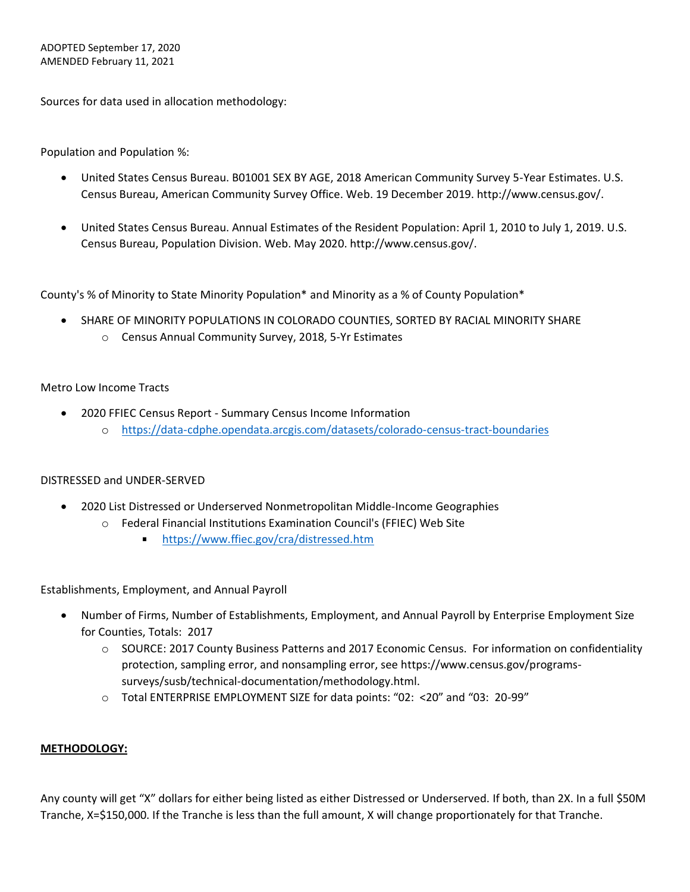Sources for data used in allocation methodology:

Population and Population %:

- United States Census Bureau. B01001 SEX BY AGE, 2018 American Community Survey 5-Year Estimates. U.S. Census Bureau, American Community Survey Office. Web. 19 December 2019. http://www.census.gov/.
- United States Census Bureau. Annual Estimates of the Resident Population: April 1, 2010 to July 1, 2019. U.S. Census Bureau, Population Division. Web. May 2020. http://www.census.gov/.

County's % of Minority to State Minority Population\* and Minority as a % of County Population\*

- SHARE OF MINORITY POPULATIONS IN COLORADO COUNTIES, SORTED BY RACIAL MINORITY SHARE
	- o Census Annual Community Survey, 2018, 5-Yr Estimates

# Metro Low Income Tracts

- 2020 FFIEC Census Report Summary Census Income Information
	- o <https://data-cdphe.opendata.arcgis.com/datasets/colorado-census-tract-boundaries>

### DISTRESSED and UNDER-SERVED

- 2020 List Distressed or Underserved Nonmetropolitan Middle-Income Geographies
	- o Federal Financial Institutions Examination Council's (FFIEC) Web Site
		- $\mathbf{r}$ <https://www.ffiec.gov/cra/distressed.htm>

Establishments, Employment, and Annual Payroll

- Number of Firms, Number of Establishments, Employment, and Annual Payroll by Enterprise Employment Size for Counties, Totals: 2017
	- o SOURCE: 2017 County Business Patterns and 2017 Economic Census. For information on confidentiality protection, sampling error, and nonsampling error, see https://www.census.gov/programssurveys/susb/technical-documentation/methodology.html.
	- o Total ENTERPRISE EMPLOYMENT SIZE for data points: "02: <20" and "03: 20-99"

### **METHODOLOGY:**

Any county will get "X" dollars for either being listed as either Distressed or Underserved. If both, than 2X. In a full \$50M Tranche, X=\$150,000. If the Tranche is less than the full amount, X will change proportionately for that Tranche.